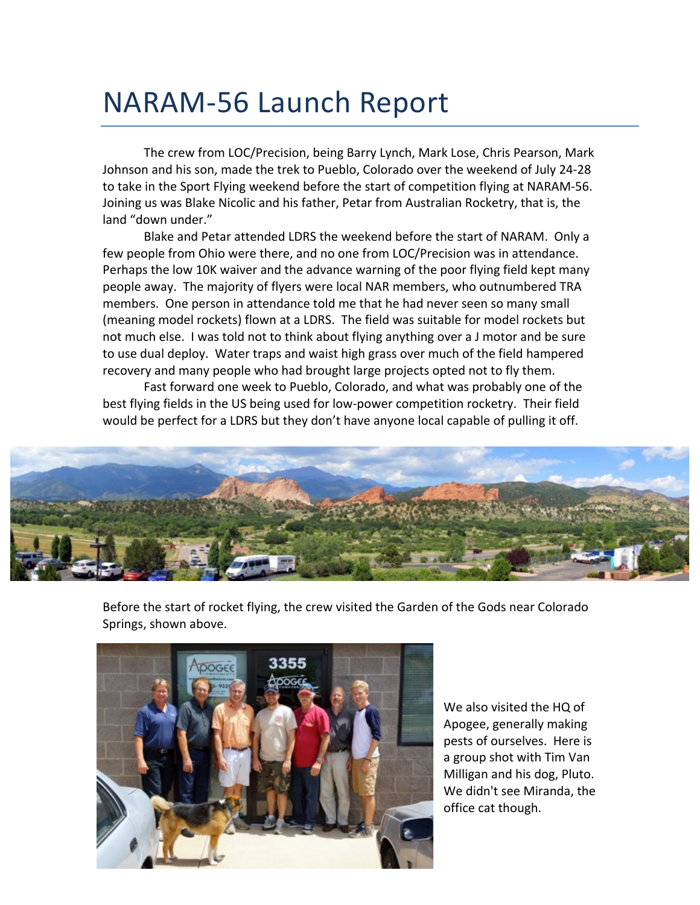## NARAM-56 Launch Report

The crew from LOC/Precision, being Barry Lynch, Mark Lose, Chris Pearson, Mark Johnson and his son, made the trek to Pueblo, Colorado over the weekend of July 24-28 to take in the Sport Flying weekend before the start of competition flying at NARAM-56. Joining us was Blake Nicolic and his father, Petar from Australian Rocketry, that is, the land "down under."

Blake and Petar attended LDRS the weekend before the start of NARAM. Only a few people from Ohio were there, and no one from LOC/Precision was in attendance. Perhaps the low 10K waiver and the advance warning of the poor flying field kept many people away. The majority of flyers were local NAR members, who outnumbered TRA members. One person in attendance told me that he had never seen so many small (meaning model rockets) flown at a LDRS. The field was suitable for model rockets but not much else. I was told not to think about flying anything over a J motor and be sure to use dual deploy. Water traps and waist high grass over much of the field hampered recovery and many people who had brought large projects opted not to fly them.

Fast forward one week to Pueblo, Colorado, and what was probably one of the best flying fields in the US being used for low-power competition rocketry. Their field would be perfect for a LDRS but they don't have anyone local capable of pulling it off.



Before the start of rocket flying, the crew visited the Garden of the Gods near Colorado Springs, shown above.



We also visited the HQ of Apogee, generally making pests of ourselves. Here is a group shot with Tim Van Milligan and his dog, Pluto. We didn't see Miranda, the office cat though.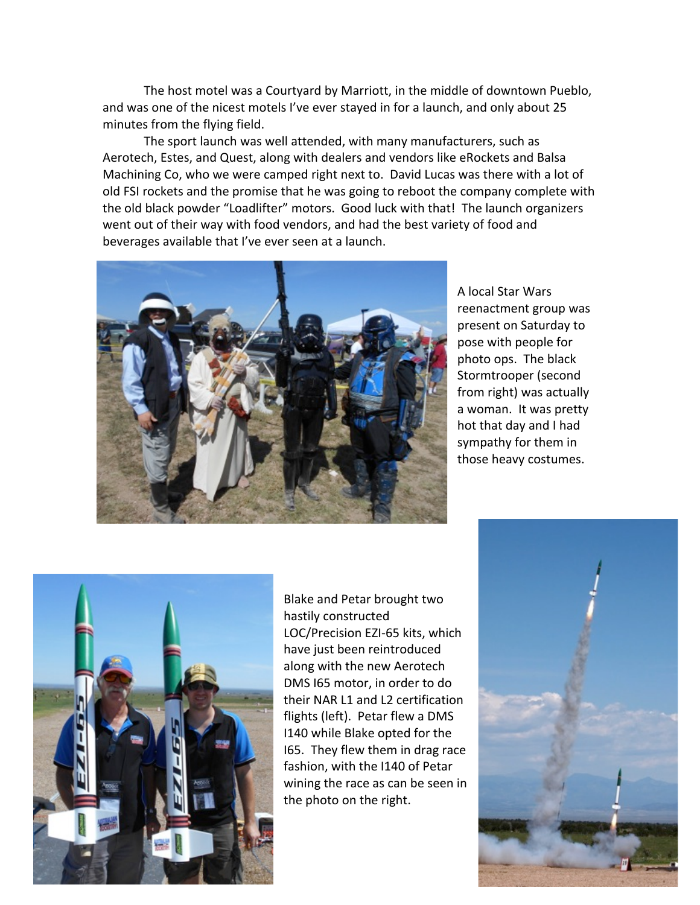The host motel was a Courtyard by Marriott, in the middle of downtown Pueblo, and was one of the nicest motels I've ever stayed in for a launch, and only about 25 minutes from the flying field.

The sport launch was well attended, with many manufacturers, such as Aerotech, Estes, and Quest, along with dealers and vendors like eRockets and Balsa Machining Co, who we were camped right next to. David Lucas was there with a lot of old FSI rockets and the promise that he was going to reboot the company complete with the old black powder "Loadlifter" motors. Good luck with that! The launch organizers went out of their way with food vendors, and had the best variety of food and beverages available that I've ever seen at a launch.



A local Star Wars reenactment group was present on Saturday to pose with people for photo ops. The black Stormtrooper (second from right) was actually a woman. It was pretty hot that day and I had sympathy for them in those heavy costumes.



Blake and Petar brought two hastily constructed LOC/Precision EZI-65 kits, which have just been reintroduced along with the new Aerotech DMS I65 motor, in order to do their NAR L1 and L2 certification flights (left). Petar flew a DMS I140 while Blake opted for the I65. They flew them in drag race fashion, with the I140 of Petar wining the race as can be seen in the photo on the right.

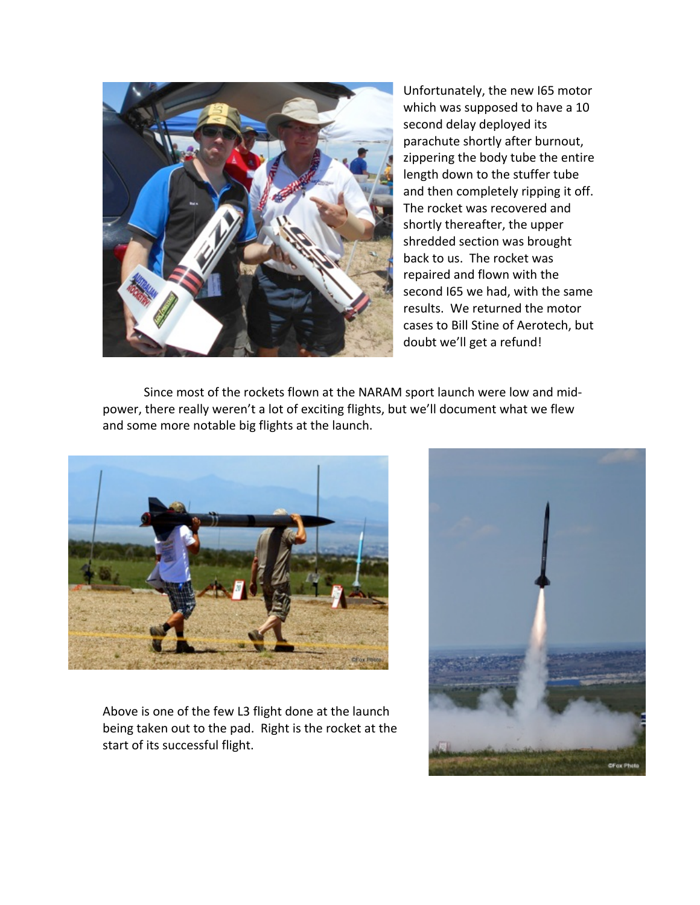

Unfortunately, the new I65 motor which was supposed to have a 10 second delay deployed its parachute shortly after burnout, zippering the body tube the entire length down to the stuffer tube and then completely ripping it off. The rocket was recovered and shortly thereafter, the upper shredded section was brought back to us. The rocket was repaired and flown with the second I65 we had, with the same results. We returned the motor cases to Bill Stine of Aerotech, but doubt we'll get a refund!

Since most of the rockets flown at the NARAM sport launch were low and midpower, there really weren't a lot of exciting flights, but we'll document what we flew and some more notable big flights at the launch.



Above is one of the few L3 flight done at the launch being taken out to the pad. Right is the rocket at the start of its successful flight.

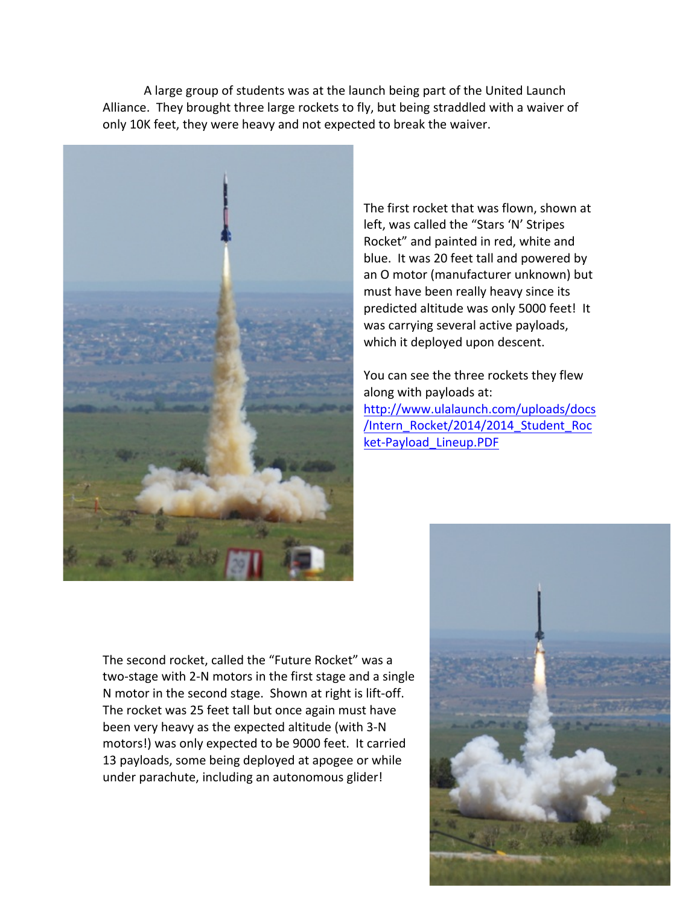A large group of students was at the launch being part of the United Launch Alliance. They brought three large rockets to fly, but being straddled with a waiver of only 10K feet, they were heavy and not expected to break the waiver.



The first rocket that was flown, shown at left, was called the "Stars 'N' Stripes Rocket" and painted in red, white and blue. It was 20 feet tall and powered by an O motor (manufacturer unknown) but must have been really heavy since its predicted altitude was only 5000 feet! It was carrying several active payloads, which it deployed upon descent.

You can see the three rockets they flew along with payloads at: http://www.ulalaunch.com/uploads/docs /Intern\_Rocket/2014/2014\_Student\_Roc ket-Payload\_Lineup.PDF

The second rocket, called the "Future Rocket" was a two-stage with 2-N motors in the first stage and a single N motor in the second stage. Shown at right is lift-off. The rocket was 25 feet tall but once again must have been very heavy as the expected altitude (with 3-N motors!) was only expected to be 9000 feet. It carried 13 payloads, some being deployed at apogee or while under parachute, including an autonomous glider!

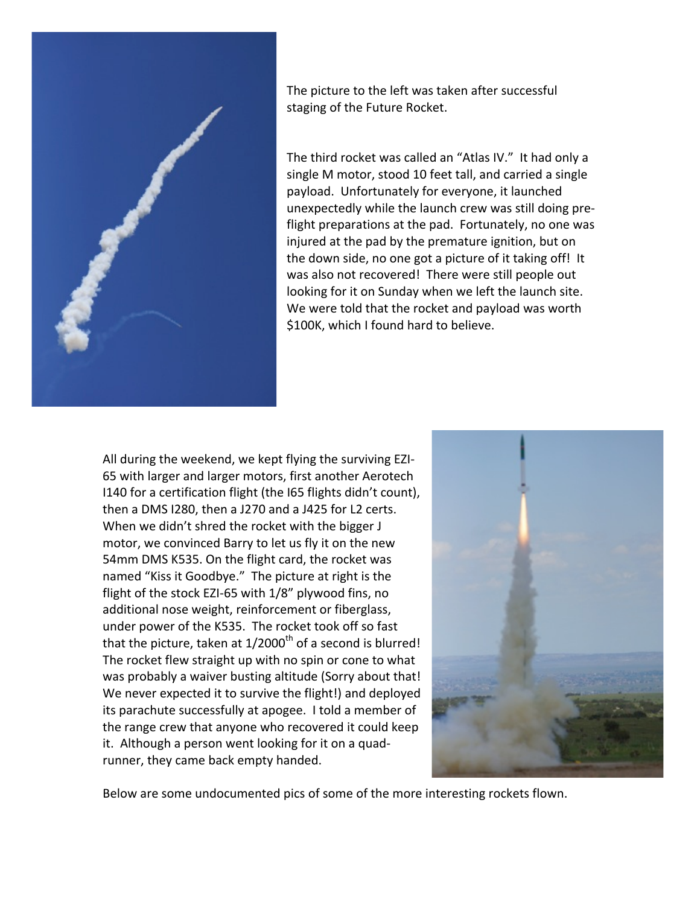

The picture to the left was taken after successful staging of the Future Rocket.

The third rocket was called an "Atlas IV." It had only a single M motor, stood 10 feet tall, and carried a single payload. Unfortunately for everyone, it launched unexpectedly while the launch crew was still doing preflight preparations at the pad. Fortunately, no one was injured at the pad by the premature ignition, but on the down side, no one got a picture of it taking off! It was also not recovered! There were still people out looking for it on Sunday when we left the launch site. We were told that the rocket and payload was worth \$100K, which I found hard to believe.

All during the weekend, we kept flying the surviving EZI-65 with larger and larger motors, first another Aerotech I140 for a certification flight (the I65 flights didn't count), then a DMS I280, then a J270 and a J425 for L2 certs. When we didn't shred the rocket with the bigger J motor, we convinced Barry to let us fly it on the new 54mm DMS K535. On the flight card, the rocket was named "Kiss it Goodbye." The picture at right is the flight of the stock EZI-65 with  $1/8$ " plywood fins, no additional nose weight, reinforcement or fiberglass, under power of the K535. The rocket took off so fast that the picture, taken at  $1/2000$ <sup>th</sup> of a second is blurred! The rocket flew straight up with no spin or cone to what was probably a waiver busting altitude (Sorry about that! We never expected it to survive the flight!) and deployed its parachute successfully at apogee. I told a member of the range crew that anyone who recovered it could keep it. Although a person went looking for it on a quadrunner, they came back empty handed.



Below are some undocumented pics of some of the more interesting rockets flown.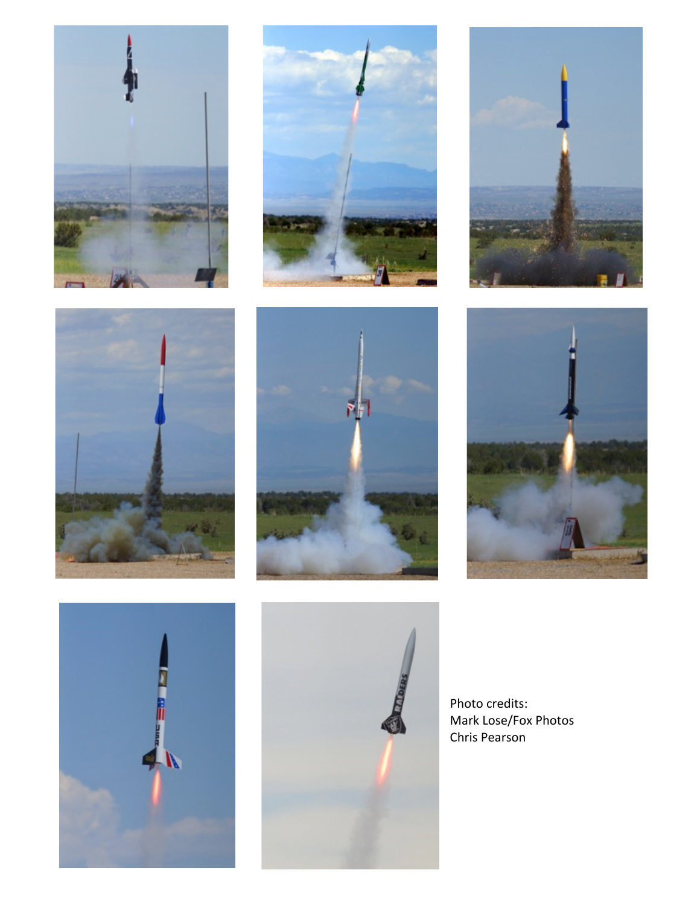















Photo credits: Mark Lose/Fox Photos Chris Pearson